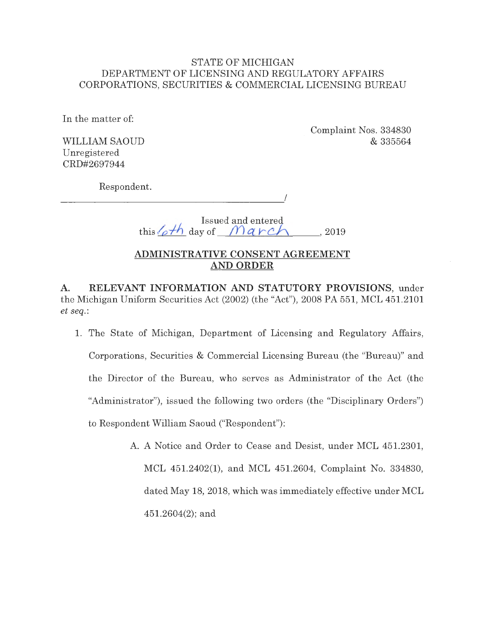## STATE OF MICHIGAN DEPARTMENT OF LICENSING AND REGULATORY AFFAIRS CORPORATIONS, SECURITIES & COMMERCIAL LICENSING BUREAU

**In** the matter of:

WILLIAM SAOUD Unregistered CRD#2697944

Complaint Nos. 334830 & 335564

Respondent.

-------------------

Issued and entereg.  $t_{\text{his}}/\text{o}$ <sup>th</sup> day of  $\text{Mark}$ , 2019

I

# **ADMINISTRATIVE CONSENT AGREEMENT AND ORDER**

**A. RELEVANT INFORMATION AND STATUTORY PROVISIONS,** under the Michigan Uniform Securities Act (2002) (the "Act"), 2008 PA 551, MCL 451.2101 *et seq. :* 

- 1. The State of Michigan, Department of Licensing and Regulatory Affairs, Corporations, Securities & Commercial Licensing Bureau (the "Bureau)" and the Director of the Bureau, who serves as Administrator of the Act (the "Administrator"), issued the following two orders (the "Disciplinary Orders") to Respondent William Saoud ("Respondent"):
	- A. A Notice and Order to Cease and Desist, under MCL 451.2301, MCL 451.2402(1), and MCL 451.2604, Complaint No. 334830, dated May 18, 2018, which was immediately effective under MCL 451.2604(2); and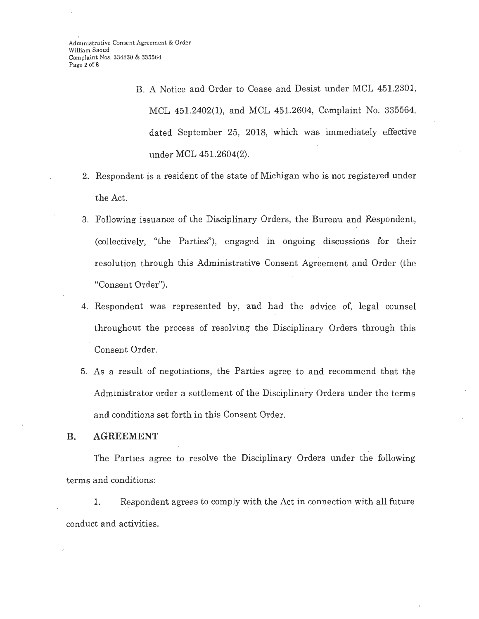B. A Notice and Order to Cease and Desist under MCL 451.2301, MCL 451.2402(1), and MCL 451.2604, Complaint No. 335564, dated September 25, 2018, which was immediately effective under MCL 451.2604(2).

- 2. Respondent is a resident of the state of Michigan who is not registered under the Act.
- 3. Following issuance of the Disciplinary Orders, the Bureau and Respondent, (collectively, "the Parties"), engaged in ongoing discussions for their resolution through this Administrative Consent Agreement and Order (the "Consent Order").
- 4. Respondent was represented by, and had the advice of, legal counsel throughout the process of resolving the Disciplinary Orders through this Consent Order.
- 5. As a result of negotiations, the Parties agree to and recommend that the Administrator order a settlement of the Disciplinary Orders under the terms and conditions set forth in this Consent Order.

#### **B. AGREEMENT**

The Parties agree to resolve the Disciplinary Orders under the following terms and conditions:

1. Respondent agrees to comply with the Act in connection with all future conduct and activities.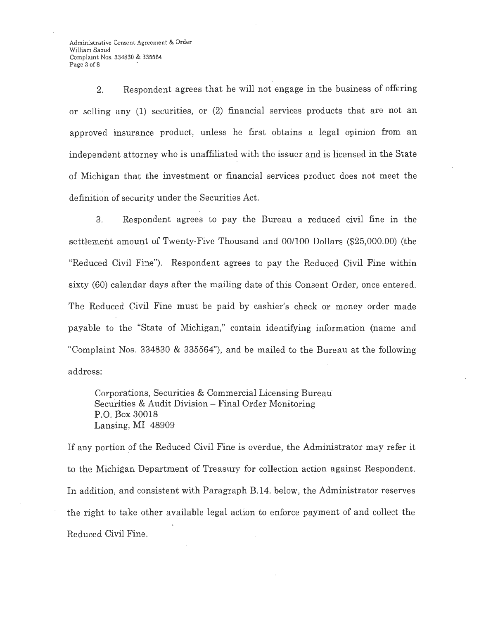Administrative Consent Agreoment & Order William Saoud Complaint Nos. 334830 & 335564 Page 3 of 8

2. Respondent agrees that he will not engage in the business of offering or selling any (1) securities, or (2) financial services products that are not an approved insurance product, unless he first obtains a legal opinion from an independent attorney who is unaffiliated with the issuer and is licensed in the State of Michigan that the investment or financial services product does not meet the definition of security under the Securities Act.

3. Respondent agrees to pay the Bureau a reduced civil fine in the settlement amount of Twenty-Five Thousand and 00/100 Dollars (\$25,000.00) (the "Reduced Civil Fine"). Respondent agrees to pay the Reduced Civil Fine within sixty (60) calendar days after the mailing date of this Consent Order, once entered. The Reduced Civil Fine must be paid by cashier's check or money order made payable to the "State of Michigan," contain identifying information (name and "Complaint Nos. 334830 & 335564"), and be mailed to the Bureau at the following address:

Corporations, Securities & Commercial Licensing Bureau Securities & Audit Division - Final Order Monitoring P.O. Box 30018 Lansing, MI 48909

If any portion of the Reduced Civil Fine is overdue, the Administrator may refer it to the Michigan Department of Treasury for collection action against Respondent. In addition, and consistent with Paragraph B.14. below, the Administrator reserves the right to take other available legal action to enforce payment of and collect the Reduced Civil Fine.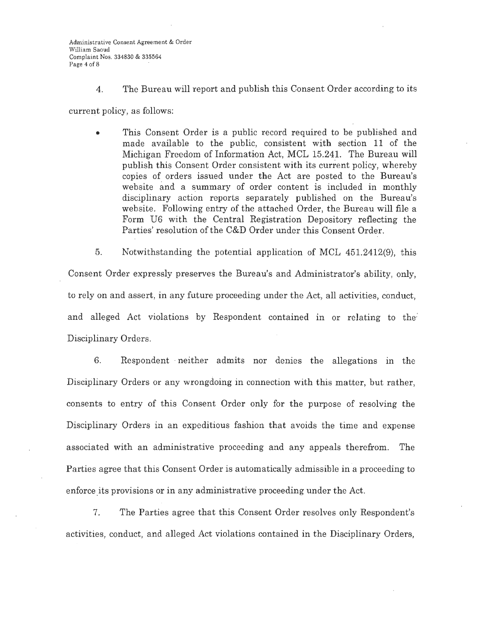4. The Bureau will report and publish this Consent Order according to its

current policy, as follows:

• This Consent Order is a public record required to be published and made available to the public, consistent with section 11 of the Michigan Freedom of Information Act, MCL 15.241. The Bureau will publish this Consent Order consistent with its current policy, whereby copies of orders issued under the Act are posted to the Bureau's website and a summary of order content is included in monthly disciplinary action reports separately published on the Bureau's website. Following entry of the attached Order, the Bureau will file a Form U6 with the Central Registration Depository reflecting the Parties' resolution of the C&D Order under this Consent Order.

5. Notwithstanding the potential application of MCL 451.2412(9), this Consent Order expressly preserves the Bureau's and Administrator's ability, only, to rely on and assert, in any future proceeding under the Act, all activities, conduct, and alleged Act violations by Respondent contained in or relating to the; Disciplinary Orders.

6. Respondent neither admits nor denies the allegations in the Disciplinary Orders or any wrongdoing in connection with this matter, but rather, consents to entry of this Consent Order only for the purpose of resolving the Disciplinary Orders in an expeditious fashion that avoids the time and expense associated with an administrative proceeding and any appeals therefrom. The Parties agree that this Consent Order is automatically admissible in a proceeding to enforce its provisions or in any administrative proceeding under the Act.

7. The Parties agree that this Consent Order resolves only Respondent's activities, conduct, and alleged Act violations contained in the Disciplinary Orders,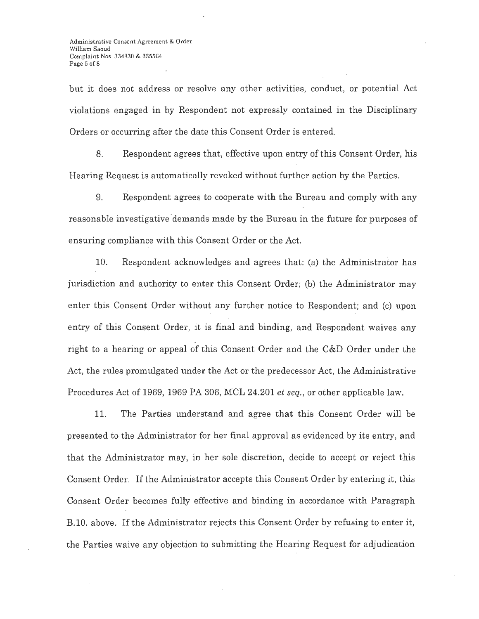but it does not address or resolve any other activities, conduct, or potential Act violations engaged in by Respondent not expressly contained in the Disciplinary Orders or occurring after the date this Consent Order is entered.

8. Respondent agrees that, effective upon entry of this Consent Order, his Hearing Request is automatically revoked without further action by the Parties.

9. Respondent agrees to cooperate with the Bureau and comply with any reasonable investigative demands made by the Bureau in the future for purposes of ensuring compliance with this Consent Order or the Act.

10. Respondent acknowledges and agrees that: (a) the Administrator has jurisdiction and authority to enter this Consent Order; (b) the Administrator may enter this Consent Order without any further notice to Respondent; and (c) upon entry of this Consent Order, it is final and binding, and Respondent waives any right to a hearing or appeal of this Consent Order and the C&D Order under the Act, the rules promulgated under the Act or the predecessor Act, the Administrative Procedures Act of 1969, 1969 PA 306, MCL 24.201 *et seq.,* or other applicable law.

11. The Parties understand and agree that this Consent Order will be presented to the Administrator for her final approval as evidenced by its entry, and that the Administrator may, in her sole discretion, decide to accept or reject this Consent Order. If the Administrator accepts this Consent Order by entering it, this Consent Order becomes fully effective and binding in accordance with Paragraph B.10. above. If the Administrator rejects this Consent Order by refusing to enter it, the Parties waive any objection to submitting the Hearing Request for adjudication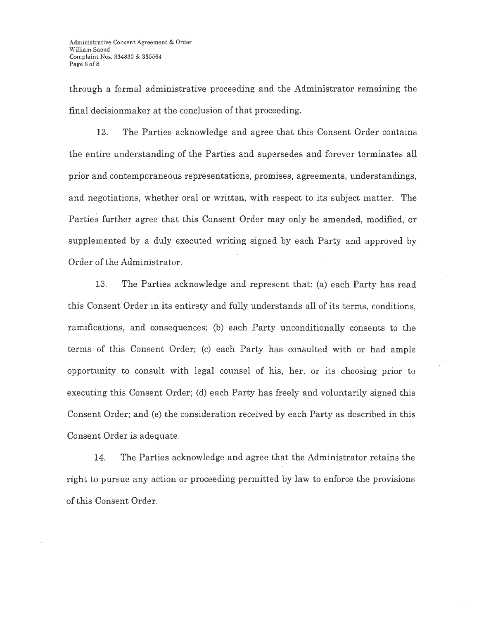through a formal administrative proceeding and the Administrator remaining the final decisionmaker at the conclusion of that proceeding.

12. The Parties acknowledge and agree that this Consent Order contains the entire understanding of the Parties and supersedes and forever terminates all prior and contemporaneous representations, promises, agreements, understandings, and negotiations, whether oral or written, with respect to its subject matter. The Parties further agree that this Consent Order may only be amended, modified, or supplemented by a duly executed writing signed by each Party and approved by Order of the Administrator.

13. The Parties acknowledge and represent that: (a) each Party has read this Consent Order in its entirety and fully understands all of its terms, conditions, ramifications, and consequences; (b) each Party unconditionally consents to the terms of this Consent Order; (c) each Party has consulted with or had ample opportunity to consult with legal counsel of his, her, or its choosing prior to executing this Consent Order; (d) each Party has freely and voluntarily signed this Consent Order; and (e) the consideration received by each Party as described in this Consent Order is adequate.

14. The Parties acknowledge and agree that the Administrator retains the right to pursue any action or proceeding permitted by law to enforce the provisions of this Consent Order.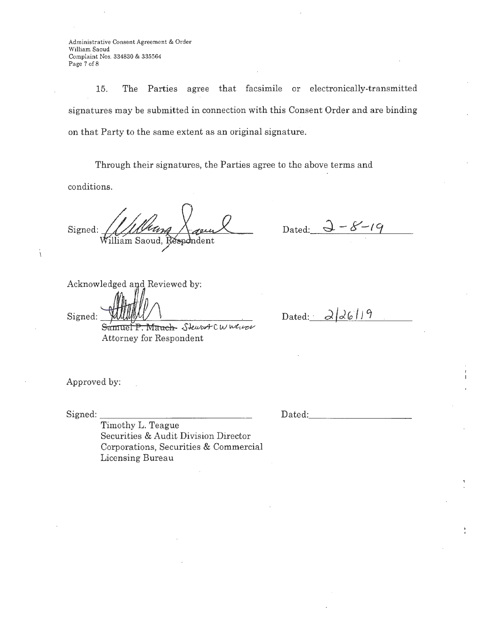Administrative Consent Agreement & Order William Saoud Complaint Nos. 334830 & 335564 Page 7 of 8

15. The Parties agree that facsimile or electronically-transmitted signatures may be submitted in connection with this Consent Order and are binding on that Party to the same extent as an original signature.

Through their signatures, the Parties agree to the above terms and

conditions.

Signed: William Saoud,  $\mathop{\mathtt{sp}}\nolimits$ dent

Dated:  $2 - 8 - 19$ 

Acknowledged and Reviewed by:<br>Signed: . Samuel P. Mauch- Steward C *w weiter* 

Attorney for Respondent

Dated: 2/26/19

Approved by:

Signed:

Dated: ·-----------

Timothy L. Teague Securities & Audit Division Director Corporations, Securities & Commercial Licensing Bureau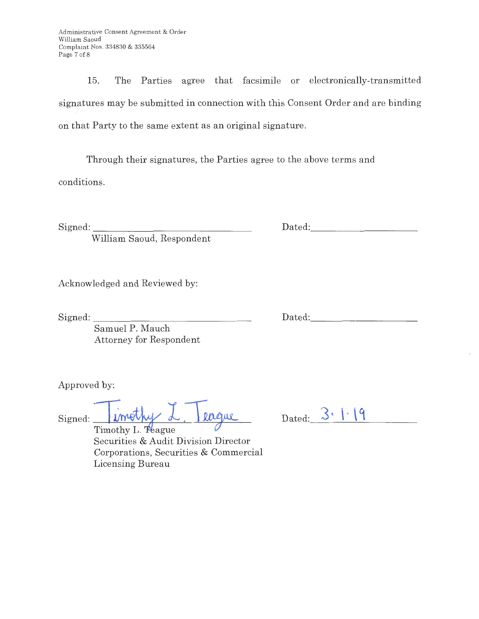Administrative Consent Agreement & Order William Saoud Complaint Nos. 334830 & 335564 Page 7 of 8

15. The Parties agree that facsimile or electronically-transmitted signatures may be submitted in connection with this Consent Order and are binding on that Party to the same extent as an original signature.

Through their signatures, the Parties agree to the above terms and

conditions.

 $Signed:$ 

William Saoud, Respondent

Acknowledged and Reviewed by:

Signed:

Dated:

Dated:

Samuel P. Mauch Attorney for Respondent

Approved by:

Signed: *Tirrethy L. Teague* 

Dated:  $3 \cdot | \cdot | 9$ -----------

Timothy L. Teague Securities & Audit Division Director Corporations, Securities & Commercial Licensing Bureau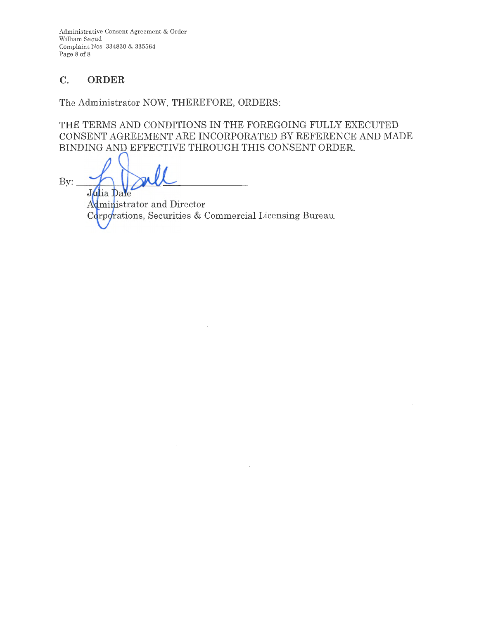Administrative Consent Agreement & Order William Saoud Complaint Nos. 334830 & 335564 Page 8 of 8

# **C. ORDER**

The Administrator NOW, THEREFORE, ORDERS:

THE TERMS AND CONDITIONS IN THE FOREGOING FULLY EXECUTED CONSENT AGREEMENT ARE INCORPORATED BY REFERENCE AND MADE BINDING AND EFFECTIVE THROUGH THIS CONSENT ORDER.

By: Julia Dale

Administrator and Director Corporations, Securities & Commercial Licensing Bureau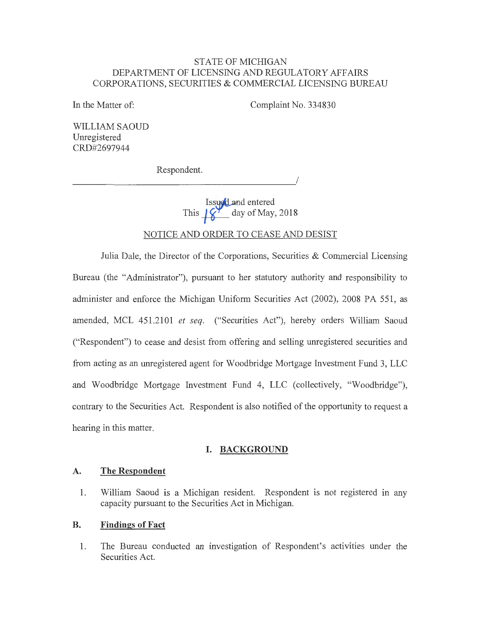### STATE OF MICHIGAN DEPARTMENT OF LICENSING AND REGULATORY AFFAIRS CORPORATIONS, SECURITIES & COMMERCIAL LICENSING BUREAU

In the Matter of:

Complaint No. 334830

WILLIAM SAOUD Unregistered CRD#2697944

Respondent.

 $\overline{\phantom{a}}$ 

Issued and entered This  $\left[\mathbf{y'}\right]$  day of May, 2018

### NOTICE AND ORDER TO CEASE AND DESIST

Julia Dale, the Director of the Corporations, Securities & Commercial Licensing Bureau (the "Administrator"), pursuant to her statutory authority and responsibility to administer and enforce the Michigan Uniform Securities Act (2002), 2008 PA 551, as amended, MCL 451.2101 *et seq.* ("Securities Act"), hereby orders William Saoud ("Respondent") to cease and desist from offering and selling unregistered securities and from acting as an unregistered agent for Woodbridge Mortgage Investment Fund 3, LLC and Woodbridge Mortgage Investment Fund 4, LLC (collectively, "Woodbridge"), contrary to the Securities Act. Respondent is also notified of the opportunity to request a hearing in this matter.

#### **I. BACKGROUND**

#### **A. The Respondent**

1. William Saoud is a Michigan resident. Respondent is not registered in any capacity pursuant to the Securities Act in Michigan.

#### **B. Findings of Fact**

1. The Bureau conducted an investigation of Respondent's activities under the Securities Act.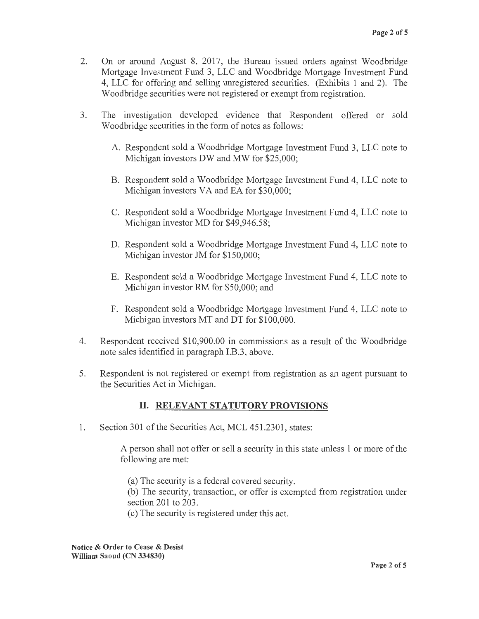- 2. On or around August 8, 2017, the Bureau issued orders against Woodbridge Mortgage Investment Fund 3, LLC and Woodbridge Mortgage Investment Fund 4, LLC for offering and selling unregistered securities. (Exhibits 1 and 2). The Woodbridge securities were not registered or exempt from registration.
- 3. The investigation developed evidence that Respondent offered or sold Woodbridge securities in the form of notes as follows:
	- A. Respondent sold a Woodbridge Mortgage Investment Fund 3, LLC note to Michigan investors DW and MW for \$25,000;
	- B. Respondent sold a Woodbridge Mortgage Investment Fund 4, LLC note to Michigan investors VA and EA for \$30,000;
	- C. Respondent sold a Woodbridge Mortgage Investment Fund 4, LLC note to Michigan investor MD for \$49,946.58;
	- D. Respondent sold a Woodbridge Mortgage Investment Fund 4, LLC note to Michigan investor JM for \$150,000;
	- E. Respondent sold a Woodbridge Mortgage Investment Fund 4, LLC note to Michigan investor RM for \$50,000; and
	- F. Respondent sold a Woodbridge Mortgage Investment Fund 4, LLC note to Michigan investors MT and DT for \$100,000.
- 4. Respondent received \$10,900.00 in commissions as a result of the Woodbridge note sales identified in paragraph I.B.3, above.
- 5. Respondent is not registered or exempt from registration as an agent pursuant to the Securities Act in Michigan.

# II. **RELEVANT STATUTORY PROVISIONS**

1. Section 301 of the Securities Act, MCL 451.2301, states:

A person shall not offer or sell a security in this state unless 1 or more of the following are met:

(a) The security is a federal covered security.

(b) The security, transaction, or offer is exempted from registration under section 201 to 203.

( c) The security is registered under this act.

**Notice** & **Order to Cease** & **Desist William Saoud (CN 334830)**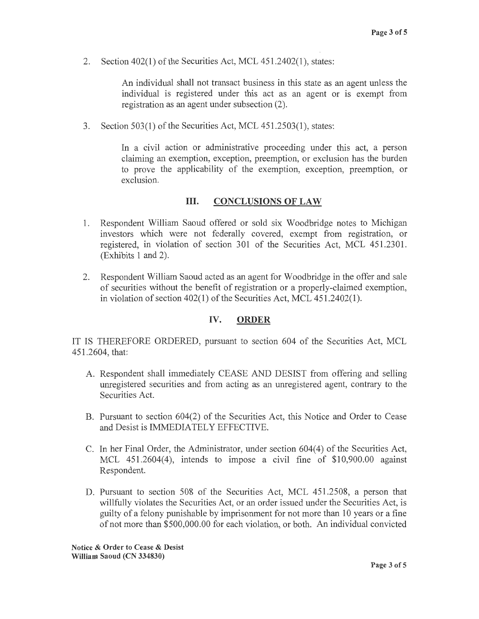2. Section 402(1) of the Securities Act, MCL 451.2402(1), states:

An individual shall not transact business in this state as an agent unless the individual is registered under this act as an agent or is exempt from registration as an agent under subsection (2).

3. Section 503(1) of the Securities Act, MCL 451.2503(1), states:

In a civil action or administrative proceeding under this act, a person claiming an exemption, exception, preemption, or exclusion has the burden to prove the applicability of the exemption, exception, preemption, or exclusion.

#### III. **CONCLUSIONS OF LAW**

- 1. Respondent William Saoud offered or sold six Woodbridge notes to Michigan investors which were not federally covered, exempt from registration, or registered, in violation of section 301 of the Securities Act, MCL 451.2301. (Exhibits 1 and 2).
- 2. Respondent William Saoud acted as an agent for Woodbridge in the offer and sale of securities without the benefit of registration or a properly-claimed exemption, in violation of section 402(1) of the Securities Act, MCL 451.2402(1).

#### **IV. ORDER**

IT IS THEREFORE ORDERED, pursuant to section 604 of the Securities Act, MCL 451.2604, that:

- A. Respondent shall immediately CEASE AND DESIST from offering and selling umegistered securities and from acting as an umegistered agent, contrary to the Securities Act.
- B. Pursuant to section 604(2) of the Securities Act, this Notice and Order to Cease and Desist is IMMEDIATELY EFFECTIVE.
- C. In her Final Order, the Administrator, under section 604(4) of the Securities Act, MCL 451.2604(4), intends to impose a civil fine of \$10,900.00 against Respondent.
- D. Pursuant to section 508 of the Securities Act, MCL 451.2508, a person that willfully violates the Securities Act, or an order issued under the Securities Act, is guilty of a felony punishable by imprisonment for not more than 10 years or a fine of not more than \$500,000.00 for each violation, or both. An individual convicted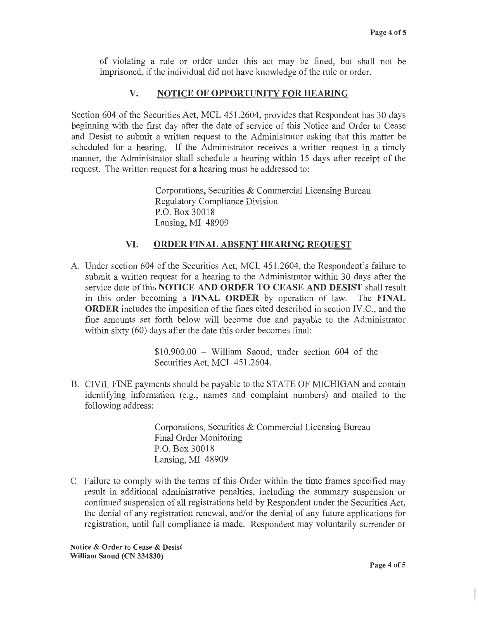of violating a rule or order under this act may be fined, but shall not be imprisoned, if the individual did not have knowledge of the rule or order.

## **V. NOTICE OF OPPORTUNITY FOR HEARING**

Section 604 of the Securities Act, MCL 451.2604, provides that Respondent has 30 days beginning with the first day after the date of service of this Notice and Order to Cease and Desist to submit a written request to the Administrator asking that this matter be scheduled for a hearing. If the Administrator receives a written request in a timely manner, the Administrator shall schedule a hearing within 15 days after receipt of the request. The written request for a hearing must be addressed to:

> Corporations, Securities & Commercial Licensing Bureau Regulatory Compliance Division P.O. Box 30018 Lansing, MI 48909

### **VI. ORDER FINAL ABSENT HEARING REQUEST**

A. Under section 604 of the Securities Act, MCL 451.2604, the Respondent's failure to submit a written request for a hearing to the Administrator within 30 days after the service date of this **NOTICE AND ORDER TO CEASE AND DESIST** shall result in this order becoming a **FINAL ORDER** by operation of law. The **FINAL ORDER** includes the imposition of the fines cited described in section IV.C., and the fine amounts set forth below will become due and payable to the Administrator within sixty (60) days after the date this order becomes final:

> $$10,900.00 -$  William Saoud, under section 604 of the Securities Act, MCL 451.2604.

B. CIVIL FINE payments should be payable to the STATE OF MICHIGAN and contain identifying information (e.g., names and complaint numbers) and mailed to the following address:

> Corporations, Securities & Commercial Licensing Bureau Final Order Monitoring P.O. Box 30018 Lansing, MI 48909

C. Failure to comply with the terms of this Order within the time frames specified may result in additional administrative penalties, including the summary suspension or continued suspension of all registrations held by Respondent under the Securities Act, the denial of any registration renewal, and/or the denial of any future applications for registration, until full compliance is made. Respondent may voluntarily surrender or

**Notice** & **Order to Cease** & **Desist William Saoud (CN 334830)**